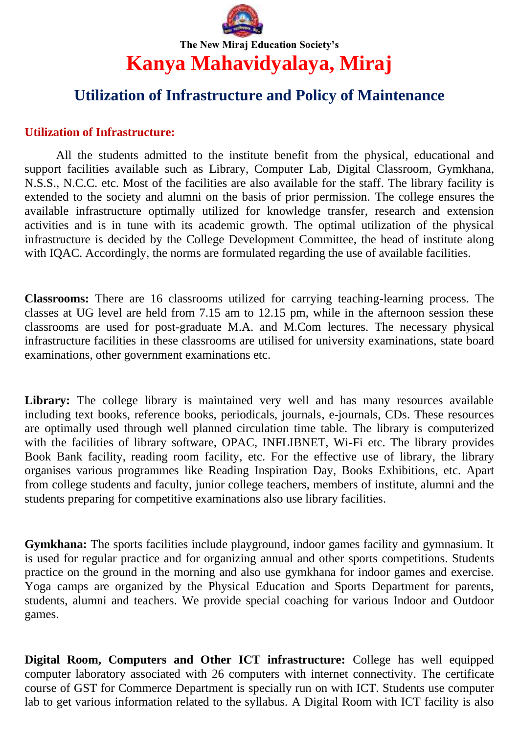

## **Utilization of Infrastructure and Policy of Maintenance**

## **Utilization of Infrastructure:**

All the students admitted to the institute benefit from the physical, educational and support facilities available such as Library, Computer Lab, Digital Classroom, Gymkhana, N.S.S., N.C.C. etc. Most of the facilities are also available for the staff. The library facility is extended to the society and alumni on the basis of prior permission. The college ensures the available infrastructure optimally utilized for knowledge transfer, research and extension activities and is in tune with its academic growth. The optimal utilization of the physical infrastructure is decided by the College Development Committee, the head of institute along with IQAC. Accordingly, the norms are formulated regarding the use of available facilities.

**Classrooms:** There are 16 classrooms utilized for carrying teaching-learning process. The classes at UG level are held from 7.15 am to 12.15 pm, while in the afternoon session these classrooms are used for post-graduate M.A. and M.Com lectures. The necessary physical infrastructure facilities in these classrooms are utilised for university examinations, state board examinations, other government examinations etc.

Library: The college library is maintained very well and has many resources available including text books, reference books, periodicals, journals, e-journals, CDs. These resources are optimally used through well planned circulation time table. The library is computerized with the facilities of library software, OPAC, INFLIBNET, Wi-Fi etc. The library provides Book Bank facility, reading room facility, etc. For the effective use of library, the library organises various programmes like Reading Inspiration Day, Books Exhibitions, etc. Apart from college students and faculty, junior college teachers, members of institute, alumni and the students preparing for competitive examinations also use library facilities.

**Gymkhana:** The sports facilities include playground, indoor games facility and gymnasium. It is used for regular practice and for organizing annual and other sports competitions. Students practice on the ground in the morning and also use gymkhana for indoor games and exercise. Yoga camps are organized by the Physical Education and Sports Department for parents, students, alumni and teachers. We provide special coaching for various Indoor and Outdoor games.

**Digital Room, Computers and Other ICT infrastructure:** College has well equipped computer laboratory associated with 26 computers with internet connectivity. The certificate course of GST for Commerce Department is specially run on with ICT. Students use computer lab to get various information related to the syllabus. A Digital Room with ICT facility is also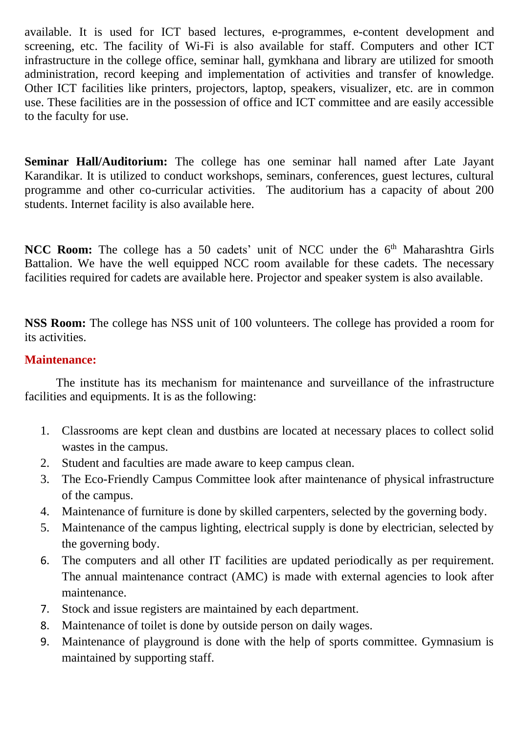available. It is used for ICT based lectures, e-programmes, e-content development and screening, etc. The facility of Wi-Fi is also available for staff. Computers and other ICT infrastructure in the college office, seminar hall, gymkhana and library are utilized for smooth administration, record keeping and implementation of activities and transfer of knowledge. Other ICT facilities like printers, projectors, laptop, speakers, visualizer, etc. are in common use. These facilities are in the possession of office and ICT committee and are easily accessible to the faculty for use.

**Seminar Hall/Auditorium:** The college has one seminar hall named after Late Jayant Karandikar. It is utilized to conduct workshops, seminars, conferences, guest lectures, cultural programme and other co-curricular activities. The auditorium has a capacity of about 200 students. Internet facility is also available here.

NCC Room: The college has a 50 cadets' unit of NCC under the 6<sup>th</sup> Maharashtra Girls Battalion. We have the well equipped NCC room available for these cadets. The necessary facilities required for cadets are available here. Projector and speaker system is also available.

**NSS Room:** The college has NSS unit of 100 volunteers. The college has provided a room for its activities.

## **Maintenance:**

The institute has its mechanism for maintenance and surveillance of the infrastructure facilities and equipments. It is as the following:

- 1. Classrooms are kept clean and dustbins are located at necessary places to collect solid wastes in the campus.
- 2. Student and faculties are made aware to keep campus clean.
- 3. The Eco-Friendly Campus Committee look after maintenance of physical infrastructure of the campus.
- 4. Maintenance of furniture is done by skilled carpenters, selected by the governing body.
- 5. Maintenance of the campus lighting, electrical supply is done by electrician, selected by the governing body.
- 6. The computers and all other IT facilities are updated periodically as per requirement. The annual maintenance contract (AMC) is made with external agencies to look after maintenance.
- 7. Stock and issue registers are maintained by each department.
- 8. Maintenance of toilet is done by outside person on daily wages.
- 9. Maintenance of playground is done with the help of sports committee. Gymnasium is maintained by supporting staff.